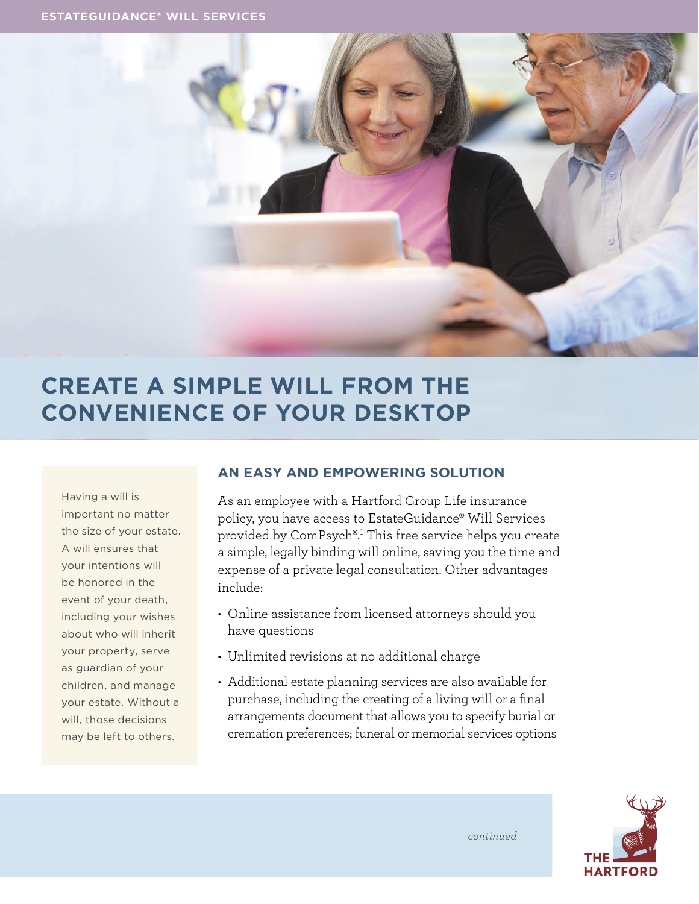

# **CREATE A SIMPLE WILL FROM THE CONVENIENCE OF YOUR DESKTOP**

Having a will is important no matter the size of your estate. A will ensures that your intentions will be honored in the event of your death, including your wishes about who will inherit your property, serve as guardian of your children, and manage your estate. Without a will, those decisions may be left to others.

## **AN EASY AND EMPOWERING SOLUTION**

As an employee with a Hartford Group Life insurance policy, you have access to EstateGuidance® Will Services provided by ComPsych®.1 This free service helps you create a simple, legally binding will online, saving you the time and expense of a private legal consultation. Other advantages include:

- Online assistance from licensed attorneys should you have questions
- Unlimited revisions at no additional charge
- Additional estate planning services are also available for purchase, including the creating of a living will or a final arrangements document that allows you to specify burial or cremation preferences; funeral or memorial services options



*continued*